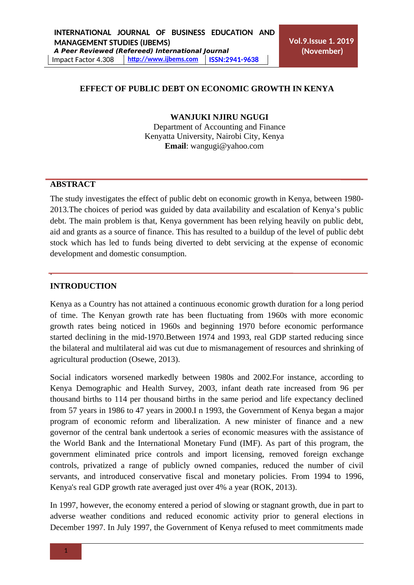#### **EFFECT OF PUBLIC DEBT ON ECONOMIC GROWTH IN KENYA**

#### **WANJUKI NJIRU NGUGI**

Department of [Accounting and Finance](http://business.ku.ac.ke/index.php/departments/accounting-and-finance) Kenyatta University, Nairobi City, Kenya **Email**: wangug[i@yahoo.com](mailto:harleytega@yahoo.com)

### **ABSTRACT**

The study investigates the effect of public debt on economic growth in Kenya, between 1980- 2013.The choices of period was guided by data availability and escalation of Kenya's public debt. The main problem is that, Kenya government has been relying heavily on public debt, aid and grants as a source of finance. This has resulted to a buildup of the level of public debt stock which has led to funds being diverted to debt servicing at the expense of economic development and domestic consumption.

#### **INTRODUCTION**

.

Kenya as a Country has not attained a continuous economic growth duration for a long period of time. The Kenyan growth rate has been fluctuating from 1960s with more economic growth rates being noticed in 1960s and beginning 1970 before economic performance started declining in the mid-1970.Between 1974 and 1993, real GDP started reducing since the bilateral and multilateral aid was cut due to mismanagement of resources and shrinking of agricultural production (Osewe, 2013).

Social indicators worsened markedly between 1980s and 2002.For instance, according to Kenya Demographic and Health Survey, 2003, infant death rate increased from 96 per thousand births to 114 per thousand births in the same period and life expectancy declined from 57 years in 1986 to 47 years in 2000.I n 1993, the Government of Kenya began a major program of economic reform and [liberalization. A](https://en.wikipedia.org/wiki/Liberalisation) new minister of finance and a new governor of the [central bank u](https://en.wikipedia.org/wiki/Central_bank)ndertook a series of economic measures with the assistance of the [World Bank a](https://en.wikipedia.org/wiki/World_Bank)nd the [International Monetary Fund \(](https://en.wikipedia.org/wiki/International_Monetary_Fund)IMF). As part of this program, the government eliminated [price controls a](https://en.wikipedia.org/wiki/Price_controls)nd import licensing, removed [foreign](https://en.wikipedia.org/wiki/Foreign_exchange_controls) [exchange](https://en.wikipedia.org/wiki/Foreign_exchange_controls) [controls,](https://en.wikipedia.org/wiki/Foreign_exchange_controls) [privatized a](https://en.wikipedia.org/wiki/Privatised) range of publicly owned companies, reduced the number of civil servants, and introduced conservative fiscal and monetary policies. From 1994 to 1996, Kenya's real GDP growth rate averaged just over 4% a year (ROK, 2013).

In 1997, however, the economy entered a period of slowing or stagnant growth, due in part to adverse weather conditions and reduced economic activity prior to general elections in December 1997. In July 1997, the Government of Kenya refused to meet commitments made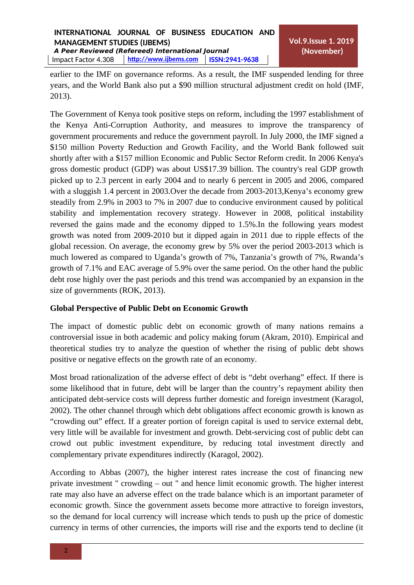earlier to the IMF on [governance r](https://en.wikipedia.org/wiki/Governance)eforms. As a result, the IMF suspended lending for three years, and the World Bank also put a \$90 million [structural](https://en.wikipedia.org/wiki/Structural_adjustment) [adjustment c](https://en.wikipedia.org/wiki/Structural_adjustment)redit on hold (IMF, 2013).

The Government of Kenya took positive steps on reform, including the 1997 establishment of the [Kenya Anti-Corruption Authority, a](https://en.wikipedia.org/wiki/Kenya_Anti-Corruption_Authority)nd measures to improve the transparency of government procurements and reduce the government payroll. In July 2000, the IMF signed a \$150 million [Poverty Reduction a](https://en.wikipedia.org/w/index.php?title=Poverty_Reduction&action=edit&redlink=1)nd Growth Facility, and the [World Bank f](https://en.wikipedia.org/wiki/World_Bank)ollowed suit shortly after with a \$157 million Economic and Public Sector Reform credit. In 2006 Kenya's gross domestic product (GDP) was about US\$17.39 billion. The country's real GDP growth picked up to 2.3 percent in early 2004 and to nearly 6 percent in 2005 and 2006, compared with a sluggish 1.4 percent in 2003.Over the decade from 2003-2013,Kenya's economy grew steadily from 2.9% in 2003 to 7% in 2007 due to conducive environment caused by political stability and implementation recovery strategy. However in 2008, political instability reversed the gains made and the economy dipped to 1.5%.In the following years modest growth was noted from 2009-2010 but it dipped again in 2011 due to ripple effects of the global recession. On average, the economy grew by 5% over the period 2003-2013 which is much lowered as compared to Uganda's growth of 7%, Tanzania's growth of 7%, Rwanda's growth of 7.1% and EAC average of 5.9% over the same period. On the other hand the public debt rose highly over the past periods and this trend was accompanied by an expansion in the size of governments (ROK, 2013).

## **Global Perspective of Public Debt on Economic Growth**

The impact of domestic public debt on economic growth of many nations remains a controversial issue in both academic and policy making forum (Akram, 2010). Empirical and theoretical studies try to analyze the question of whether the rising of public debt shows positive or negative effects on the growth rate of an economy.

Most broad rationalization of the adverse effect of debt is "debt overhang" effect. If there is some likelihood that in future, debt will be larger than the country's repayment ability then anticipated debt-service costs will depress further domestic and foreign investment (Karagol, 2002). The other channel through which debt obligations affect economic growth is known as "crowding out" effect. If a greater portion of foreign capital is used to service external debt, very little will be available for investment and growth. Debt-servicing cost of public debt can crowd out public investment expenditure, by reducing total investment directly and complementary private expenditures indirectly (Karagol, 2002).

According to Abbas (2007), the higher interest rates increase the cost of financing new private investment " crowding – out " and hence limit economic growth. The higher interest rate may also have an adverse effect on the trade balance which is an important parameter of economic growth. Since the government assets become more attractive to foreign investors, so the demand for local currency will increase which tends to push up the price of domestic currency in terms of other currencies, the imports will rise and the exports tend to decline (it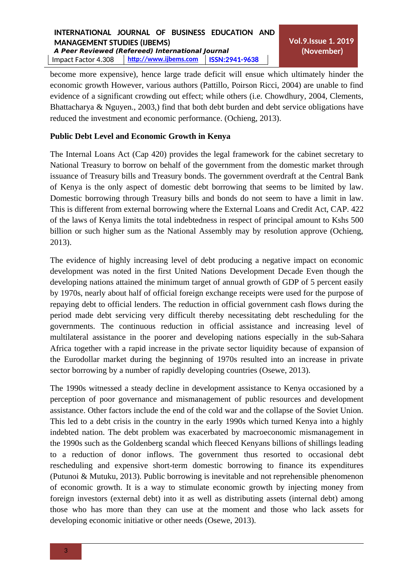become more expensive), hence large trade deficit will ensue which ultimately hinder the economic growth However, various authors (Pattillo, Poirson Ricci, 2004) are unable to find evidence of a significant crowding out effect; while others (i.e. Chowdhury, 2004, Clements, Bhattacharya & Nguyen., 2003,) find that both debt burden and debt service obligations have reduced the investment and economic performance. (Ochieng, 2013).

## **Public Debt Level and Economic Growth in Kenya**

The Internal Loans Act (Cap 420) provides the legal framework for the cabinet secretary to National Treasury to borrow on behalf of the government from the domestic market through issuance of Treasury bills and Treasury bonds. The government overdraft at the Central Bank of Kenya is the only aspect of domestic debt borrowing that seems to be limited by law. Domestic borrowing through Treasury bills and bonds do not seem to have a limit in law. This is different from external borrowing where the External Loans and Credit Act, CAP. 422 of the laws of Kenya limits the total indebtedness in respect of principal amount to Kshs 500 billion or such higher sum as the National Assembly may by resolution approve (Ochieng, 2013).

The evidence of highly increasing level of debt producing a negative impact on economic development was noted in the first United Nations Development Decade Even though the developing nations attained the minimum target of annual growth of GDP of 5 percent easily by 1970s, nearly about half of official foreign exchange receipts were used for the purpose of repaying debt to official lenders. The reduction in official government cash flows during the period made debt servicing very difficult thereby necessitating debt rescheduling for the governments. The continuous reduction in official assistance and increasing level of multilateral assistance in the poorer and developing nations especially in the sub-Sahara Africa together with a rapid increase in the private sector liquidity because of expansion of the Eurodollar market during the beginning of 1970s resulted into an increase in private sector borrowing by a number of rapidly developing countries (Osewe, 2013).

The 1990s witnessed a steady decline in development assistance to Kenya occasioned by a perception of poor governance and mismanagement of public resources and development assistance. Other factors include the end of the cold war and the collapse of the Soviet Union. This led to a debt crisis in the country in the early 1990s which turned Kenya into a highly indebted nation. The debt problem was exacerbated by macroeconomic mismanagement in the 1990s such as the Goldenberg scandal which fleeced Kenyans billions of shillings leading to a reduction of donor inflows. The government thus resorted to occasional debt rescheduling and expensive short-term domestic borrowing to finance its expenditures (Putunoi & Mutuku, 2013). Public borrowing is inevitable and not reprehensible phenomenon of economic growth. It is a way to stimulate economic growth by injecting money from foreign investors (external debt) into it as well as distributing assets (internal debt) among those who has more than they can use at the moment and those who lack assets for developing economic initiative or other needs (Osewe, 2013).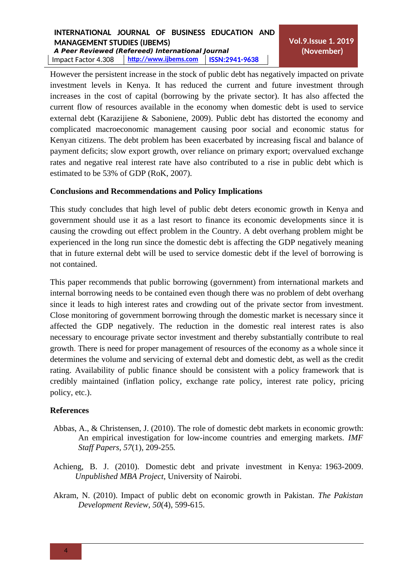# **INTERNATIONAL JOURNAL OF BUSINESS EDUCATION AND MANAGEMENT STUDIES (IJBEMS) A Peer Reviewed (Refereed) International Journal**

Impact Factor 4.308 **[http://www . ijbems.com](http://www.ijbems.com/) ISSN:2941-9638**

However the persistent increase in the stock of public debt has negatively impacted on private investment levels in Kenya. It has reduced the current and future investment through increases in the cost of capital (borrowing by the private sector). It has also affected the current flow of resources available in the economy when domestic debt is used to service external debt (Karazijiene & Saboniene, 2009). Public debt has distorted the economy and complicated macroeconomic management causing poor social and economic status for Kenyan citizens. The debt problem has been exacerbated by increasing fiscal and balance of payment deficits; slow export growth, over reliance on primary export; overvalued exchange rates and negative real interest rate have also contributed to a rise in public debt which is estimated to be 53% of GDP (RoK, 2007).

# **Conclusions and Recommendations and Policy Implications**

This study concludes that high level of public debt deters economic growth in Kenya and government should use it as a last resort to finance its economic developments since it is causing the crowding out effect problem in the Country. A debt overhang problem might be experienced in the long run since the domestic debt is affecting the GDP negatively meaning that in future external debt will be used to service domestic debt if the level of borrowing is not contained.

This paper recommends that public borrowing (government) from international markets and internal borrowing needs to be contained even though there was no problem of debt overhang since it leads to high interest rates and crowding out of the private sector from investment. Close monitoring of government borrowing through the domestic market is necessary since it affected the GDP negatively. The reduction in the domestic real interest rates is also necessary to encourage private sector investment and thereby substantially contribute to real growth. There is need for proper management of resources of the economy as a whole since it determines the volume and servicing of external debt and domestic debt, as well as the credit rating. Availability of public finance should be consistent with a policy framework that is credibly maintained (inflation policy, exchange rate policy, interest rate policy, pricing policy, etc.).

## **References**

- Abbas, A., & Christensen, J. (2010). The role of domestic debt markets in economic growth: An empirical investigation for low-income countries and emerging markets. *IMF Staff Papers, 57*(1), 209-255*.*
- Achieng, B. J. (2010). Domestic debt and private investment in Kenya: 1963-2009. *Unpublished MBA Project*, University of Nairobi.
- Akram, N. (2010). Impact of public debt on economic growth in Pakistan. *The Pakistan Development Review, 50*(4), 599-615.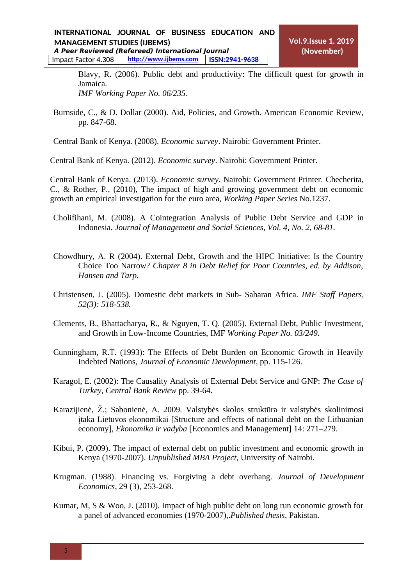Blavy, R. (2006). Public debt and productivity: The difficult quest for growth in Jamaica. *IMF Working Paper No. 06/235.*

Burnside, C., & D. Dollar (2000). Aid, Policies, and Growth. American Economic Review, pp. 847-68.

Central Bank of Kenya. (2008). *Economic survey*. Nairobi: Government Printer.

Central Bank of Kenya. (2012). *Economic survey*. Nairobi: Government Printer.

Central Bank of Kenya. (2013). *Economic survey*. Nairobi: Government Printer. Checherita, C., & Rother, P., (2010), The impact of high and growing government debt on economic growth an empirical investigation for the euro area, *Working Paper Series* No.1237.

- Cholifihani, M. (2008). A Cointegration Analysis of Public Debt Service and GDP in Indonesia. *Journal of Management and Social Sciences, Vol. 4, No. 2, 68-81.*
- Chowdhury, A. R (2004). External Debt, Growth and the HIPC Initiative: Is the Country Choice Too Narrow? *Chapter 8 in Debt Relief for Poor Countries, ed. by Addison, Hansen and Tarp.*
- Christensen, J. (2005). Domestic debt markets in Sub- Saharan Africa. *IMF Staff Papers, 52(3): 518-538.*
- Clements, B., Bhattacharya, R., & Nguyen, T. Q. (2005). External Debt, Public Investment, and Growth in Low-Income Countries, IMF *Working Paper No. 03/249.*
- Cunningham, R.T. (1993): The Effects of Debt Burden on Economic Growth in Heavily Indebted Nations, *Journal of Economic Development*, pp. 115-126.
- Karagol, E. (2002): The Causality Analysis of External Debt Service and GNP: *The Case of Turkey, Central Bank Review* pp. 39-64.
- Karazijienė, Ž.; Sabonienė, A. 2009. Valstybės skolos struktūra ir valstybės skolinimosi įtaka Lietuvos ekonomikai [Structure and effects of national debt on the Lithuanian economy], *Ekonomika ir vadyba* [Economics and Management] 14: 271–279.
- Kibui, P. (2009). The impact of external debt on public investment and economic growth in Kenya (1970-2007). *Unpublished MBA Project*, University of Nairobi.
- Krugman. (1988). Financing vs. Forgiving a debt overhang. *Journal of Development Economics*, 29 (3), 253-268.
- Kumar, M, S & Woo, J. (2010). Impact of high public debt on long run economic growth for a panel of advanced economies (1970-2007),.*Published thesis*, Pakistan.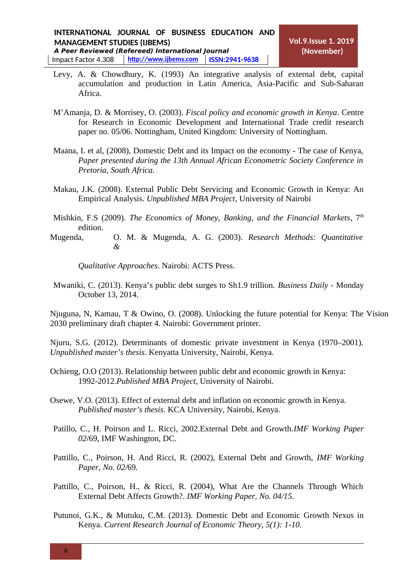- Levy, A. & Chowdhury, K. (1993) An integrative analysis of external debt, capital accumulation and production in Latin America, Asia-Pacific and Sub-Saharan Africa.
- M'Amanja, D. & Morrisey, O. (2003). *Fiscal policy and economic growth in Kenya*. Centre for Research in Economic Development and International Trade credit research paper no. 05/06. Nottingham, United Kingdom: University of Nottingham.
- Maana, I. et al, (2008), Domestic Debt and its Impact on the economy The case of Kenya, *Paper presented during the 13th Annual African Econometric Society Conference in Pretoria, South Africa.*
- Makau, J.K. (2008). External Public Debt Servicing and Economic Growth in Kenya: An Empirical Analysis. *Unpublished MBA Project*, University of Nairobi
- Mishkin, F.S (2009). *The Economics of Money, Banking, and the Financial Markets*, 7<sup>th</sup> edition.
- Mugenda, O. M. & Mugenda, A. G. (2003). *Research Methods: Quantitative &*

*Qualitative Approaches*. Nairobi: ACTS Press.

Mwaniki, C. (2013). Kenya's public debt surges to Sh1.9 trillion. *Business Daily -* Monday October 13, 2014.

Njuguna, N, Kamau, T & Owino, O. (2008). Unlocking the future potential for Kenya: The Vision 2030 preliminary draft chapter 4. Nairobi: Government printer.

Njuru, S.G. (2012). Determinants of domestic private investment in Kenya (1970–2001). *Unpublished master's thesis*. Kenyatta University, Nairobi, Kenya.

- Ochieng, O.O (2013). Relationship between public debt and economic growth in Kenya: 1992-2012.*Published MBA Project*, University of Nairobi.
- Osewe, V.O. (2013). Effect of external debt and inflation on economic growth in Kenya. *Published master's thesis*. KCA University, Nairobi, Kenya.
- Patillo, C., H. Poirson and L. Ricci, 2002.External Debt and Growth.*IMF Working Paper 02*/69, IMF Washington, DC.
- Pattillo, C., Poirson, H. And Ricci, R. (2002), External Debt and Growth, *IMF Working Paper, No. 02/*69*.*
- Pattillo, C., Poirson, H., & Ricci, R. (2004), What Are the Channels Through Which External Debt Affects Growth?. *IMF Working Paper, No. 04/15.*
- Putunoi, G.K., & Mutuku, C.M. (2013). Domestic Debt and Economic Growth Nexus in Kenya. *Current Research Journal of Economic Theory, 5(1): 1-10.*